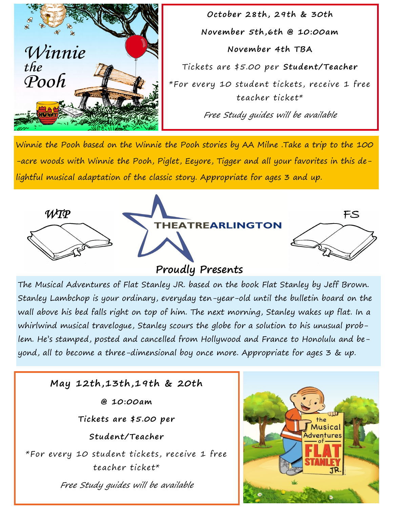

**October 28th, 29th & 30th November 5th,6th @ 10:00am November 4th TBA** Tickets are \$5.00 per **Student/Teacher** \*For every 10 student tickets, receive 1 free teacher ticket\* Free Study guides will be available

Winnie the Pooh based on the Winnie the Pooh stories by AA Milne .Take a trip to the 100 -acre woods with Winnie the Pooh, Piglet, Eeyore, Tigger and all your favorites in this delightful musical adaptation of the classic story. Appropriate for ages 3 and up.



## **Proudly Presents**

The Musical Adventures of Flat Stanley JR. based on the book Flat Stanley by Jeff Brown. Stanley Lambchop is your ordinary, everyday ten-year-old until the bulletin board on the wall above his bed falls right on top of him. The next morning, Stanley wakes up flat. In a whirlwind musical travelogue, Stanley scours the globe for a solution to his unusual problem. He's stamped, posted and cancelled from Hollywood and France to Honolulu and beyond, all to become a three-dimensional boy once more. Appropriate for ages 3 & up.

## **May 12th,13th,19th & 20th**

**@ 10:00am**

**Tickets are \$5.00 per**

**Student/Teacher**

\*For every 10 student tickets, receive 1 free teacher ticket\*

Free Study guides will be available